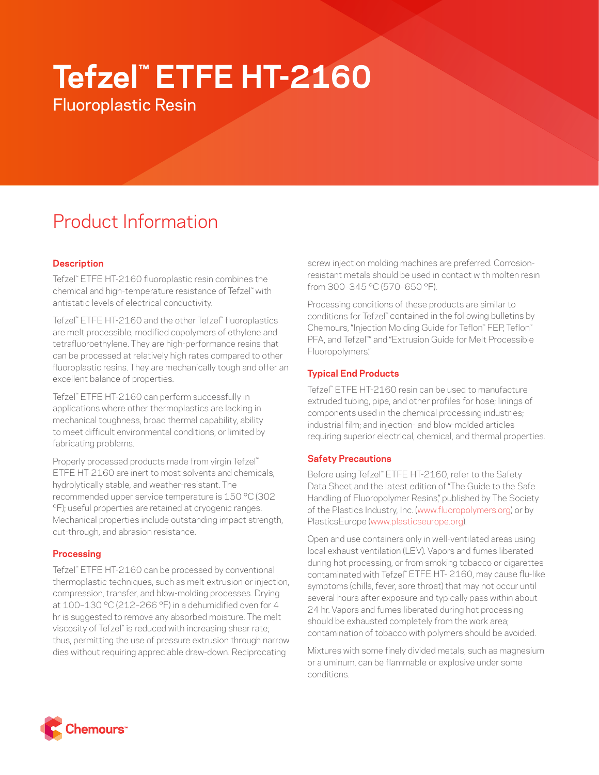# **Tefzel™ ETFE HT-2160**

Fluoroplastic Resin

# Product Information

# **Description**

Tefzel™ ETFE HT-2160 fluoroplastic resin combines the chemical and high-temperature resistance of Tefzel™ with antistatic levels of electrical conductivity.

Tefzel™ ETFE HT-2160 and the other Tefzel™ fluoroplastics are melt processible, modified copolymers of ethylene and tetrafluoroethylene. They are high-performance resins that can be processed at relatively high rates compared to other fluoroplastic resins. They are mechanically tough and offer an excellent balance of properties.

Tefzel™ ETFE HT-2160 can perform successfully in applications where other thermoplastics are lacking in mechanical toughness, broad thermal capability, ability to meet difficult environmental conditions, or limited by fabricating problems.

Properly processed products made from virgin Tefzel™ ETFE HT-2160 are inert to most solvents and chemicals, hydrolytically stable, and weather-resistant. The recommended upper service temperature is 150 °C (302 °F); useful properties are retained at cryogenic ranges. Mechanical properties include outstanding impact strength, cut-through, and abrasion resistance.

## **Processing**

Tefzel™ ETFE HT-2160 can be processed by conventional thermoplastic techniques, such as melt extrusion or injection, compression, transfer, and blow-molding processes. Drying at 100–130 °C (212–266 °F) in a dehumidified oven for 4 hr is suggested to remove any absorbed moisture. The melt viscosity of Tefzel™ is reduced with increasing shear rate; thus, permitting the use of pressure extrusion through narrow dies without requiring appreciable draw-down. Reciprocating

screw injection molding machines are preferred. Corrosionresistant metals should be used in contact with molten resin from 300–345 °C (570–650 °F).

Processing conditions of these products are similar to conditions for Tefzel™ contained in the following bulletins by Chemours, "Injection Molding Guide for Teflon™ FEP, Teflon™ PFA, and Tefzel™ " and "Extrusion Guide for Melt Processible Fluoropolymers."

# **Typical End Products**

Tefzel™ ETFE HT-2160 resin can be used to manufacture extruded tubing, pipe, and other profiles for hose; linings of components used in the chemical processing industries; industrial film; and injection- and blow-molded articles requiring superior electrical, chemical, and thermal properties.

## **Safety Precautions**

Before using Tefzel™ ETFE HT-2160, refer to the Safety Data Sheet and the latest edition of "The Guide to the Safe Handling of Fluoropolymer Resins," published by The Society of the Plastics Industry, Inc. ([www.fluoropolymers.org](http://www.fluoropolymers.org)) or by PlasticsEurope ([www.plasticseurope.org\)](http://www.plasticseurope.org).

Open and use containers only in well-ventilated areas using local exhaust ventilation (LEV). Vapors and fumes liberated during hot processing, or from smoking tobacco or cigarettes contaminated with Tefzel™ ETFE HT- 2160, may cause flu-like symptoms (chills, fever, sore throat) that may not occur until several hours after exposure and typically pass within about 24 hr. Vapors and fumes liberated during hot processing should be exhausted completely from the work area; contamination of tobacco with polymers should be avoided.

Mixtures with some finely divided metals, such as magnesium or aluminum, can be flammable or explosive under some conditions.